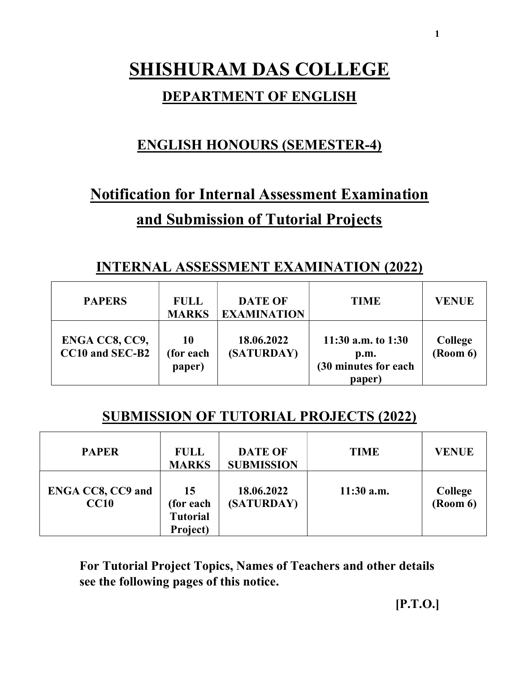# SHISHURAM DAS COLLEGE

### DEPARTMENT OF ENGLISH

# ENGLISH HONOURS (SEMESTER-4)

# Notification for Internal Assessment Examination and Submission of Tutorial Projects

## INTERNAL ASSESSMENT EXAMINATION (2022)

| <b>PAPERS</b>                     | <b>FULL</b><br><b>MARKS</b> | <b>DATE OF</b><br><b>EXAMINATION</b> | <b>TIME</b>                                                    | <b>VENUE</b>        |
|-----------------------------------|-----------------------------|--------------------------------------|----------------------------------------------------------------|---------------------|
| ENGA CC8, CC9,<br>CC10 and SEC-B2 | 10<br>(for each)<br>paper)  | 18.06.2022<br>(SATURDAY)             | 11:30 a.m. to $1:30$<br>p.m.<br>(30 minutes for each<br>paper) | College<br>(Room 6) |

## SUBMISSION OF TUTORIAL PROJECTS (2022)

| <b>PAPER</b>                     | <b>FULL</b><br><b>MARKS</b>                    | <b>DATE OF</b><br><b>SUBMISSION</b> | <b>TIME</b>  | <b>VENUE</b>               |
|----------------------------------|------------------------------------------------|-------------------------------------|--------------|----------------------------|
| <b>ENGA CC8, CC9 and</b><br>CC10 | 15<br>(for each<br><b>Tutorial</b><br>Project) | 18.06.2022<br>(SATURDAY)            | $11:30$ a.m. | <b>College</b><br>(Room 6) |

For Tutorial Project Topics, Names of Teachers and other details see the following pages of this notice.

1

[P.T.O.]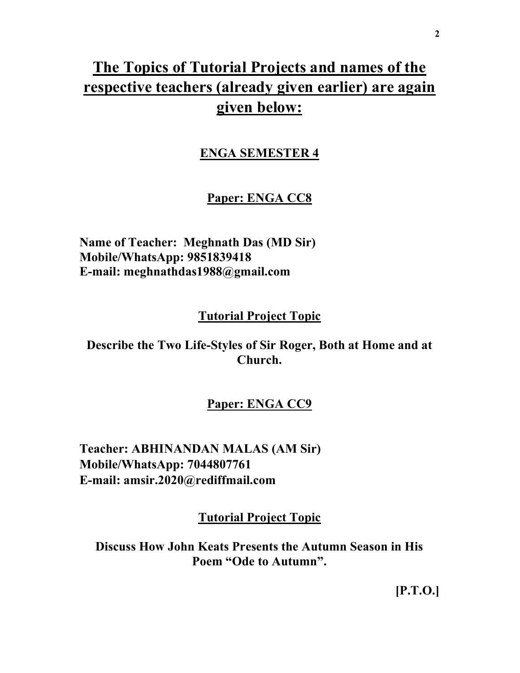# The Topics of Tutorial Projects and names of the respective teachers (already given earlier) are again given below:

#### ENGA SEMESTER 4

#### Paper: ENGA CC8

Name of Teacher: Meghnath Das (MD Sir) Mobile/WhatsApp: 9851839418 E-mail: meghnathdas1988@gmail.com

#### Tutorial Project Topic

Describe the Two Life-Styles of Sir Roger, Both at Home and at Church.

#### Paper: ENGA CC9

Teacher: ABHINANDAN MALAS (AM Sir) Mobile/WhatsApp: 7044807761 E-mail: amsir.2020@rediffmail.com

Tutorial Project Topic

Discuss How John Keats Presents the Autumn Season in His Poem "Ode to Autumn".

[P.T.O.]